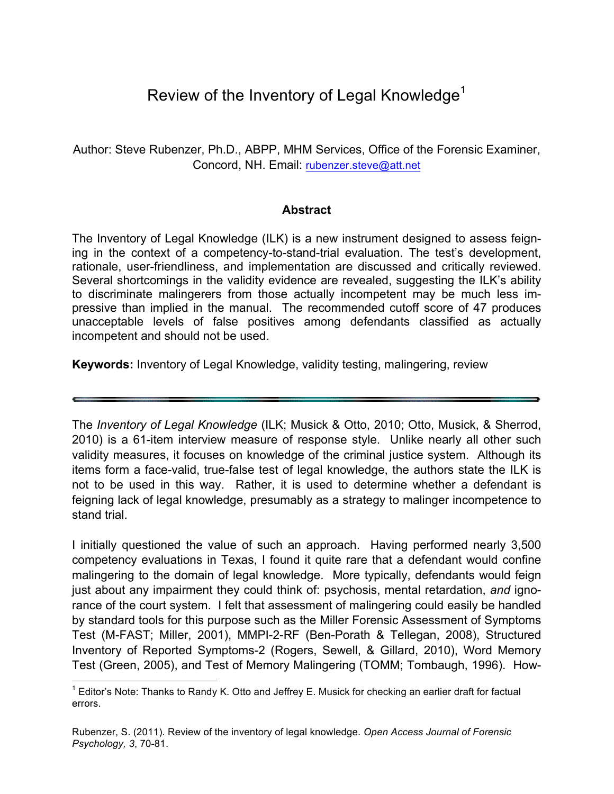# Review of the Inventory of Legal Knowledge<sup>1</sup>

Author: Steve Rubenzer, Ph.D., ABPP, MHM Services, Office of the Forensic Examiner, Concord, NH. Email: rubenzer.steve@att.net

### **Abstract**

The Inventory of Legal Knowledge (ILK) is a new instrument designed to assess feigning in the context of a competency-to-stand-trial evaluation. The test's development, rationale, user-friendliness, and implementation are discussed and critically reviewed. Several shortcomings in the validity evidence are revealed, suggesting the ILK's ability to discriminate malingerers from those actually incompetent may be much less impressive than implied in the manual. The recommended cutoff score of 47 produces unacceptable levels of false positives among defendants classified as actually incompetent and should not be used.

**Keywords:** Inventory of Legal Knowledge, validity testing, malingering, review

The *Inventory of Legal Knowledge* (ILK; Musick & Otto, 2010; Otto, Musick, & Sherrod, 2010) is a 61-item interview measure of response style. Unlike nearly all other such validity measures, it focuses on knowledge of the criminal justice system. Although its items form a face-valid, true-false test of legal knowledge, the authors state the ILK is not to be used in this way. Rather, it is used to determine whether a defendant is feigning lack of legal knowledge, presumably as a strategy to malinger incompetence to stand trial.

I initially questioned the value of such an approach. Having performed nearly 3,500 competency evaluations in Texas, I found it quite rare that a defendant would confine malingering to the domain of legal knowledge. More typically, defendants would feign just about any impairment they could think of: psychosis, mental retardation, *and* ignorance of the court system. I felt that assessment of malingering could easily be handled by standard tools for this purpose such as the Miller Forensic Assessment of Symptoms Test (M-FAST; Miller, 2001), MMPI-2-RF (Ben-Porath & Tellegan, 2008), Structured Inventory of Reported Symptoms-2 (Rogers, Sewell, & Gillard, 2010), Word Memory Test (Green, 2005), and Test of Memory Malingering (TOMM; Tombaugh, 1996). How-

 $1$  Editor's Note: Thanks to Randy K. Otto and Jeffrey E. Musick for checking an earlier draft for factual errors.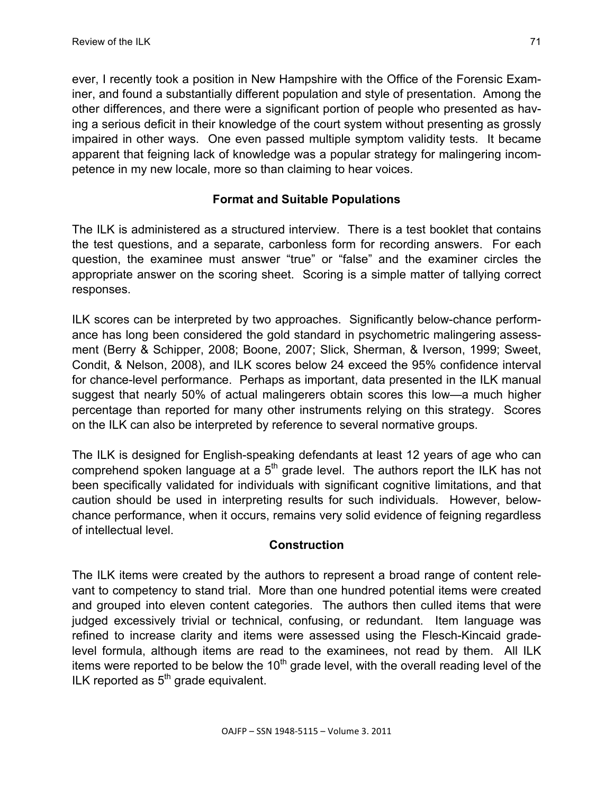ever, I recently took a position in New Hampshire with the Office of the Forensic Examiner, and found a substantially different population and style of presentation. Among the other differences, and there were a significant portion of people who presented as having a serious deficit in their knowledge of the court system without presenting as grossly impaired in other ways. One even passed multiple symptom validity tests. It became apparent that feigning lack of knowledge was a popular strategy for malingering incompetence in my new locale, more so than claiming to hear voices.

## **Format and Suitable Populations**

The ILK is administered as a structured interview. There is a test booklet that contains the test questions, and a separate, carbonless form for recording answers. For each question, the examinee must answer "true" or "false" and the examiner circles the appropriate answer on the scoring sheet. Scoring is a simple matter of tallying correct responses.

ILK scores can be interpreted by two approaches. Significantly below-chance performance has long been considered the gold standard in psychometric malingering assessment (Berry & Schipper, 2008; Boone, 2007; Slick, Sherman, & Iverson, 1999; Sweet, Condit, & Nelson, 2008), and ILK scores below 24 exceed the 95% confidence interval for chance-level performance. Perhaps as important, data presented in the ILK manual suggest that nearly 50% of actual malingerers obtain scores this low—a much higher percentage than reported for many other instruments relying on this strategy. Scores on the ILK can also be interpreted by reference to several normative groups.

The ILK is designed for English-speaking defendants at least 12 years of age who can comprehend spoken language at a  $5<sup>th</sup>$  grade level. The authors report the ILK has not been specifically validated for individuals with significant cognitive limitations, and that caution should be used in interpreting results for such individuals. However, belowchance performance, when it occurs, remains very solid evidence of feigning regardless of intellectual level.

## **Construction**

The ILK items were created by the authors to represent a broad range of content relevant to competency to stand trial. More than one hundred potential items were created and grouped into eleven content categories. The authors then culled items that were judged excessively trivial or technical, confusing, or redundant. Item language was refined to increase clarity and items were assessed using the Flesch-Kincaid gradelevel formula, although items are read to the examinees, not read by them. All ILK items were reported to be below the  $10<sup>th</sup>$  grade level, with the overall reading level of the ILK reported as  $5<sup>th</sup>$  grade equivalent.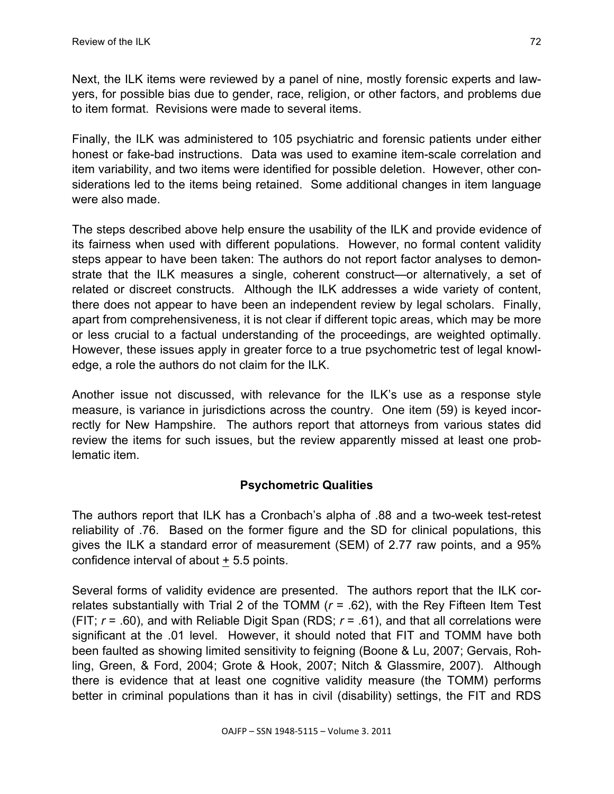Next, the ILK items were reviewed by a panel of nine, mostly forensic experts and lawyers, for possible bias due to gender, race, religion, or other factors, and problems due to item format. Revisions were made to several items.

Finally, the ILK was administered to 105 psychiatric and forensic patients under either honest or fake-bad instructions. Data was used to examine item-scale correlation and item variability, and two items were identified for possible deletion. However, other considerations led to the items being retained. Some additional changes in item language were also made.

The steps described above help ensure the usability of the ILK and provide evidence of its fairness when used with different populations. However, no formal content validity steps appear to have been taken: The authors do not report factor analyses to demonstrate that the ILK measures a single, coherent construct—or alternatively, a set of related or discreet constructs. Although the ILK addresses a wide variety of content, there does not appear to have been an independent review by legal scholars. Finally, apart from comprehensiveness, it is not clear if different topic areas, which may be more or less crucial to a factual understanding of the proceedings, are weighted optimally. However, these issues apply in greater force to a true psychometric test of legal knowledge, a role the authors do not claim for the ILK.

Another issue not discussed, with relevance for the ILK's use as a response style measure, is variance in jurisdictions across the country. One item (59) is keyed incorrectly for New Hampshire. The authors report that attorneys from various states did review the items for such issues, but the review apparently missed at least one problematic item.

# **Psychometric Qualities**

The authors report that ILK has a Cronbach's alpha of .88 and a two-week test-retest reliability of .76. Based on the former figure and the SD for clinical populations, this gives the ILK a standard error of measurement (SEM) of 2.77 raw points, and a 95% confidence interval of about + 5.5 points.

Several forms of validity evidence are presented. The authors report that the ILK correlates substantially with Trial 2 of the TOMM (*r* = .62), with the Rey Fifteen Item Test (FIT; *r* = .60), and with Reliable Digit Span (RDS; *r* = .61), and that all correlations were significant at the .01 level. However, it should noted that FIT and TOMM have both been faulted as showing limited sensitivity to feigning (Boone & Lu, 2007; Gervais, Rohling, Green, & Ford, 2004; Grote & Hook, 2007; Nitch & Glassmire, 2007). Although there is evidence that at least one cognitive validity measure (the TOMM) performs better in criminal populations than it has in civil (disability) settings, the FIT and RDS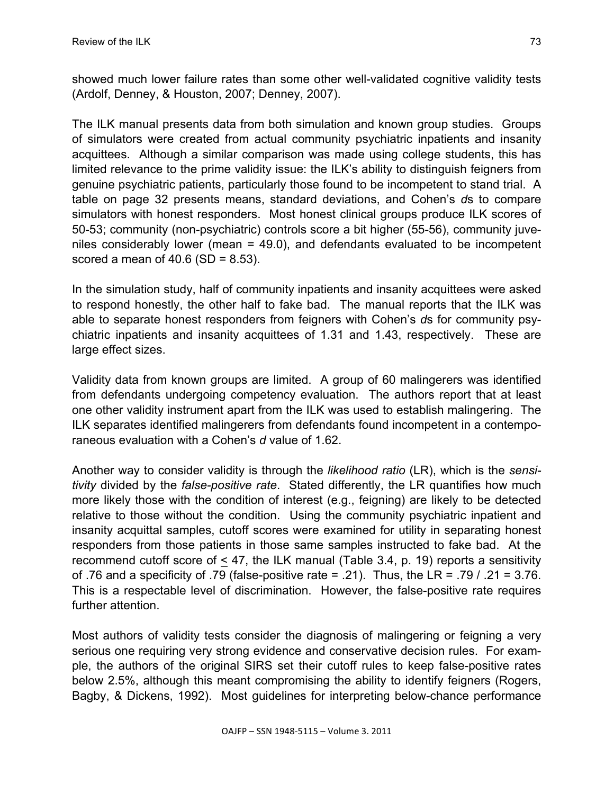showed much lower failure rates than some other well-validated cognitive validity tests (Ardolf, Denney, & Houston, 2007; Denney, 2007).

The ILK manual presents data from both simulation and known group studies. Groups of simulators were created from actual community psychiatric inpatients and insanity acquittees. Although a similar comparison was made using college students, this has limited relevance to the prime validity issue: the ILK's ability to distinguish feigners from genuine psychiatric patients, particularly those found to be incompetent to stand trial. A table on page 32 presents means, standard deviations, and Cohen's *d*s to compare simulators with honest responders. Most honest clinical groups produce ILK scores of 50-53; community (non-psychiatric) controls score a bit higher (55-56), community juveniles considerably lower (mean = 49.0), and defendants evaluated to be incompetent scored a mean of  $40.6$  (SD =  $8.53$ ).

In the simulation study, half of community inpatients and insanity acquittees were asked to respond honestly, the other half to fake bad. The manual reports that the ILK was able to separate honest responders from feigners with Cohen's *d*s for community psychiatric inpatients and insanity acquittees of 1.31 and 1.43, respectively. These are large effect sizes.

Validity data from known groups are limited. A group of 60 malingerers was identified from defendants undergoing competency evaluation. The authors report that at least one other validity instrument apart from the ILK was used to establish malingering. The ILK separates identified malingerers from defendants found incompetent in a contemporaneous evaluation with a Cohen's *d* value of 1.62.

Another way to consider validity is through the *likelihood ratio* (LR), which is the *sensitivity* divided by the *false-positive rate*. Stated differently, the LR quantifies how much more likely those with the condition of interest (e.g., feigning) are likely to be detected relative to those without the condition. Using the community psychiatric inpatient and insanity acquittal samples, cutoff scores were examined for utility in separating honest responders from those patients in those same samples instructed to fake bad. At the recommend cutoff score of < 47, the ILK manual (Table 3.4, p. 19) reports a sensitivity of .76 and a specificity of .79 (false-positive rate = .21). Thus, the LR = .79 / .21 = 3.76. This is a respectable level of discrimination. However, the false-positive rate requires further attention.

Most authors of validity tests consider the diagnosis of malingering or feigning a very serious one requiring very strong evidence and conservative decision rules. For example, the authors of the original SIRS set their cutoff rules to keep false-positive rates below 2.5%, although this meant compromising the ability to identify feigners (Rogers, Bagby, & Dickens, 1992). Most guidelines for interpreting below-chance performance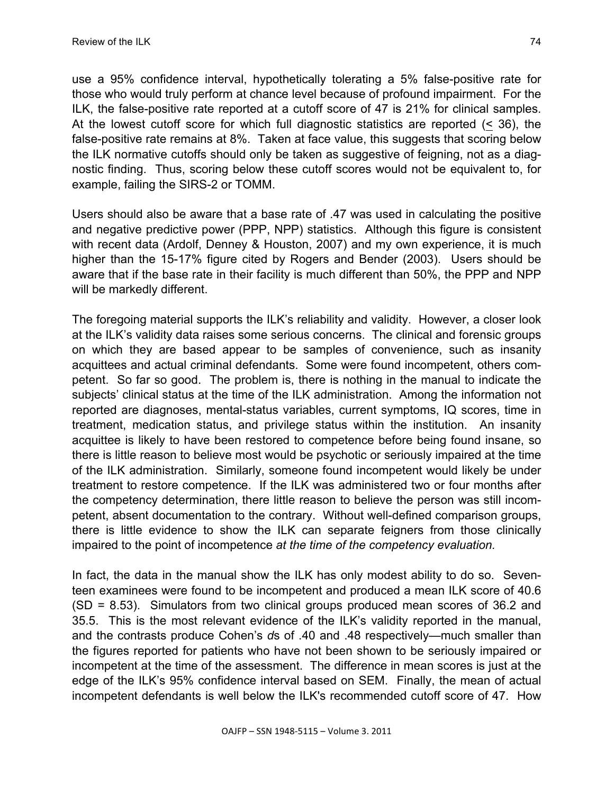use a 95% confidence interval, hypothetically tolerating a 5% false-positive rate for those who would truly perform at chance level because of profound impairment. For the ILK, the false-positive rate reported at a cutoff score of 47 is 21% for clinical samples. At the lowest cutoff score for which full diagnostic statistics are reported (< 36), the false-positive rate remains at 8%. Taken at face value, this suggests that scoring below the ILK normative cutoffs should only be taken as suggestive of feigning, not as a diagnostic finding. Thus, scoring below these cutoff scores would not be equivalent to, for example, failing the SIRS-2 or TOMM.

Users should also be aware that a base rate of .47 was used in calculating the positive and negative predictive power (PPP, NPP) statistics. Although this figure is consistent with recent data (Ardolf, Denney & Houston, 2007) and my own experience, it is much higher than the 15-17% figure cited by Rogers and Bender (2003). Users should be aware that if the base rate in their facility is much different than 50%, the PPP and NPP will be markedly different.

The foregoing material supports the ILK's reliability and validity. However, a closer look at the ILK's validity data raises some serious concerns. The clinical and forensic groups on which they are based appear to be samples of convenience, such as insanity acquittees and actual criminal defendants. Some were found incompetent, others competent. So far so good. The problem is, there is nothing in the manual to indicate the subjects' clinical status at the time of the ILK administration. Among the information not reported are diagnoses, mental-status variables, current symptoms, IQ scores, time in treatment, medication status, and privilege status within the institution. An insanity acquittee is likely to have been restored to competence before being found insane, so there is little reason to believe most would be psychotic or seriously impaired at the time of the ILK administration. Similarly, someone found incompetent would likely be under treatment to restore competence. If the ILK was administered two or four months after the competency determination, there little reason to believe the person was still incompetent, absent documentation to the contrary. Without well-defined comparison groups, there is little evidence to show the ILK can separate feigners from those clinically impaired to the point of incompetence *at the time of the competency evaluation.* 

In fact, the data in the manual show the ILK has only modest ability to do so. Seventeen examinees were found to be incompetent and produced a mean ILK score of 40.6 (SD = 8.53). Simulators from two clinical groups produced mean scores of 36.2 and 35.5. This is the most relevant evidence of the ILK's validity reported in the manual, and the contrasts produce Cohen's *d*s of .40 and .48 respectively—much smaller than the figures reported for patients who have not been shown to be seriously impaired or incompetent at the time of the assessment. The difference in mean scores is just at the edge of the ILK's 95% confidence interval based on SEM. Finally, the mean of actual incompetent defendants is well below the ILK's recommended cutoff score of 47. How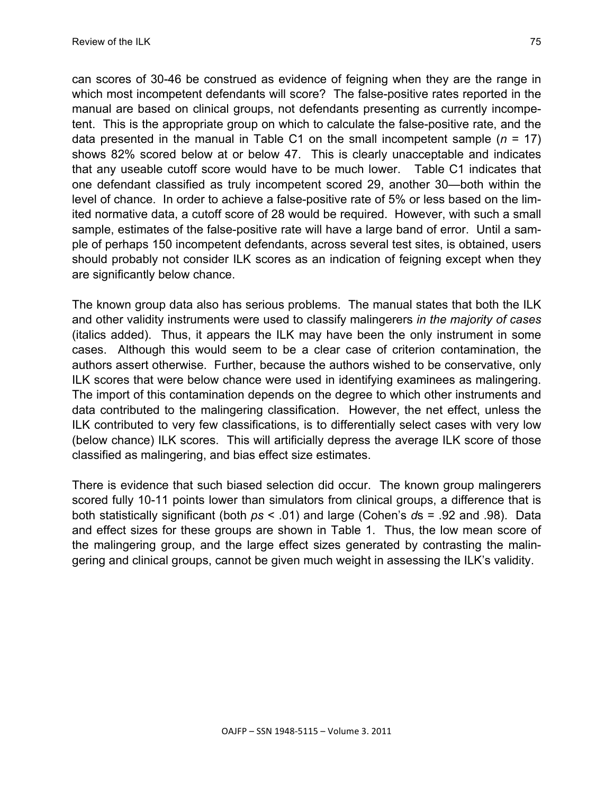can scores of 30-46 be construed as evidence of feigning when they are the range in which most incompetent defendants will score? The false-positive rates reported in the manual are based on clinical groups, not defendants presenting as currently incompetent. This is the appropriate group on which to calculate the false-positive rate, and the data presented in the manual in Table C1 on the small incompetent sample (*n* = 17) shows 82% scored below at or below 47. This is clearly unacceptable and indicates that any useable cutoff score would have to be much lower. Table C1 indicates that one defendant classified as truly incompetent scored 29, another 30—both within the level of chance. In order to achieve a false-positive rate of 5% or less based on the limited normative data, a cutoff score of 28 would be required. However, with such a small sample, estimates of the false-positive rate will have a large band of error. Until a sample of perhaps 150 incompetent defendants, across several test sites, is obtained, users should probably not consider ILK scores as an indication of feigning except when they are significantly below chance.

The known group data also has serious problems. The manual states that both the ILK and other validity instruments were used to classify malingerers *in the majority of cases*  (italics added). Thus, it appears the ILK may have been the only instrument in some cases. Although this would seem to be a clear case of criterion contamination, the authors assert otherwise. Further, because the authors wished to be conservative, only ILK scores that were below chance were used in identifying examinees as malingering. The import of this contamination depends on the degree to which other instruments and data contributed to the malingering classification. However, the net effect, unless the ILK contributed to very few classifications, is to differentially select cases with very low (below chance) ILK scores. This will artificially depress the average ILK score of those classified as malingering, and bias effect size estimates.

There is evidence that such biased selection did occur. The known group malingerers scored fully 10-11 points lower than simulators from clinical groups, a difference that is both statistically significant (both *ps* < .01) and large (Cohen's *d*s = .92 and .98). Data and effect sizes for these groups are shown in Table 1. Thus, the low mean score of the malingering group, and the large effect sizes generated by contrasting the malingering and clinical groups, cannot be given much weight in assessing the ILK's validity.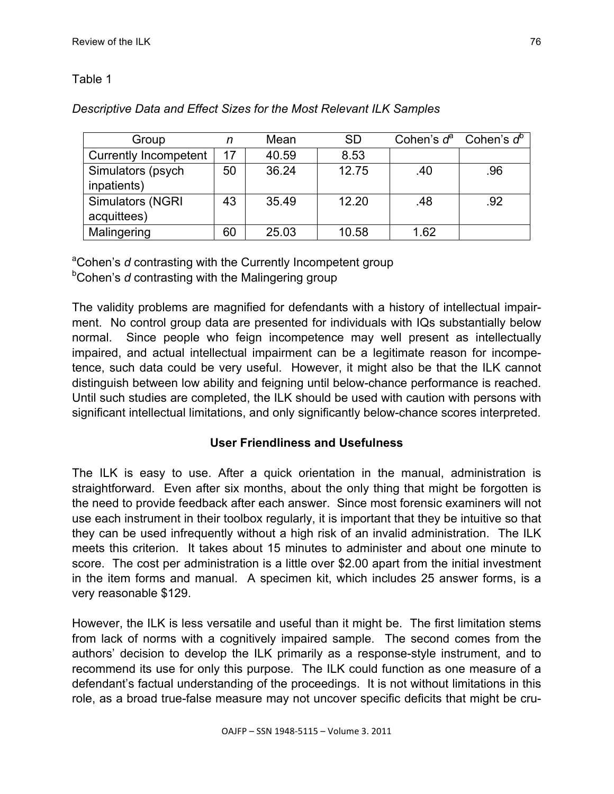# Table 1

| Group                        | n  | Mean  | <b>SD</b> |      | Cohen's $d^a$ Cohen's $d^b$ |
|------------------------------|----|-------|-----------|------|-----------------------------|
| <b>Currently Incompetent</b> | 17 | 40.59 | 8.53      |      |                             |
| Simulators (psych            | 50 | 36.24 | 12.75     | .40  | .96                         |
| inpatients)                  |    |       |           |      |                             |
| <b>Simulators (NGRI</b>      | 43 | 35.49 | 12.20     | .48  | .92                         |
| acquittees)                  |    |       |           |      |                             |
| Malingering                  | 60 | 25.03 | 10.58     | 1.62 |                             |

# *Descriptive Data and Effect Sizes for the Most Relevant ILK Samples*

<sup>a</sup>Cohen's *d* contrasting with the Currently Incompetent group <sup>b</sup>Cohen's *d* contrasting with the Malingering group

The validity problems are magnified for defendants with a history of intellectual impairment. No control group data are presented for individuals with IQs substantially below normal. Since people who feign incompetence may well present as intellectually impaired, and actual intellectual impairment can be a legitimate reason for incompetence, such data could be very useful. However, it might also be that the ILK cannot distinguish between low ability and feigning until below-chance performance is reached. Until such studies are completed, the ILK should be used with caution with persons with significant intellectual limitations, and only significantly below-chance scores interpreted.

# **User Friendliness and Usefulness**

The ILK is easy to use. After a quick orientation in the manual, administration is straightforward. Even after six months, about the only thing that might be forgotten is the need to provide feedback after each answer. Since most forensic examiners will not use each instrument in their toolbox regularly, it is important that they be intuitive so that they can be used infrequently without a high risk of an invalid administration. The ILK meets this criterion. It takes about 15 minutes to administer and about one minute to score. The cost per administration is a little over \$2.00 apart from the initial investment in the item forms and manual. A specimen kit, which includes 25 answer forms, is a very reasonable \$129.

However, the ILK is less versatile and useful than it might be. The first limitation stems from lack of norms with a cognitively impaired sample. The second comes from the authors' decision to develop the ILK primarily as a response-style instrument, and to recommend its use for only this purpose. The ILK could function as one measure of a defendant's factual understanding of the proceedings. It is not without limitations in this role, as a broad true-false measure may not uncover specific deficits that might be cru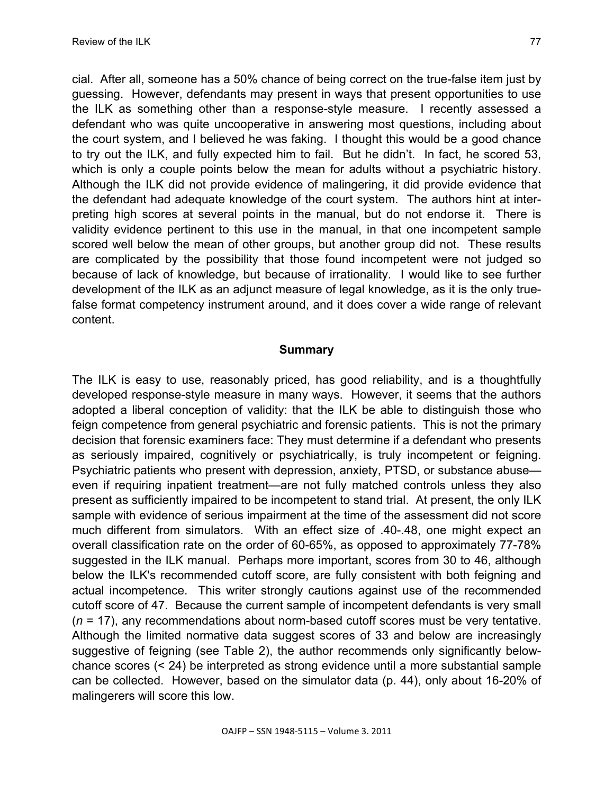cial. After all, someone has a 50% chance of being correct on the true-false item just by guessing. However, defendants may present in ways that present opportunities to use the ILK as something other than a response-style measure. I recently assessed a defendant who was quite uncooperative in answering most questions, including about the court system, and I believed he was faking. I thought this would be a good chance to try out the ILK, and fully expected him to fail. But he didn't. In fact, he scored 53, which is only a couple points below the mean for adults without a psychiatric history. Although the ILK did not provide evidence of malingering, it did provide evidence that the defendant had adequate knowledge of the court system. The authors hint at interpreting high scores at several points in the manual, but do not endorse it. There is validity evidence pertinent to this use in the manual, in that one incompetent sample scored well below the mean of other groups, but another group did not. These results are complicated by the possibility that those found incompetent were not judged so because of lack of knowledge, but because of irrationality. I would like to see further development of the ILK as an adjunct measure of legal knowledge, as it is the only truefalse format competency instrument around, and it does cover a wide range of relevant content.

### **Summary**

The ILK is easy to use, reasonably priced, has good reliability, and is a thoughtfully developed response-style measure in many ways. However, it seems that the authors adopted a liberal conception of validity: that the ILK be able to distinguish those who feign competence from general psychiatric and forensic patients. This is not the primary decision that forensic examiners face: They must determine if a defendant who presents as seriously impaired, cognitively or psychiatrically, is truly incompetent or feigning. Psychiatric patients who present with depression, anxiety, PTSD, or substance abuse even if requiring inpatient treatment—are not fully matched controls unless they also present as sufficiently impaired to be incompetent to stand trial. At present, the only ILK sample with evidence of serious impairment at the time of the assessment did not score much different from simulators. With an effect size of .40-.48, one might expect an overall classification rate on the order of 60-65%, as opposed to approximately 77-78% suggested in the ILK manual. Perhaps more important, scores from 30 to 46, although below the ILK's recommended cutoff score, are fully consistent with both feigning and actual incompetence. This writer strongly cautions against use of the recommended cutoff score of 47. Because the current sample of incompetent defendants is very small (*n* = 17), any recommendations about norm-based cutoff scores must be very tentative. Although the limited normative data suggest scores of 33 and below are increasingly suggestive of feigning (see Table 2), the author recommends only significantly belowchance scores (< 24) be interpreted as strong evidence until a more substantial sample can be collected. However, based on the simulator data (p. 44), only about 16-20% of malingerers will score this low.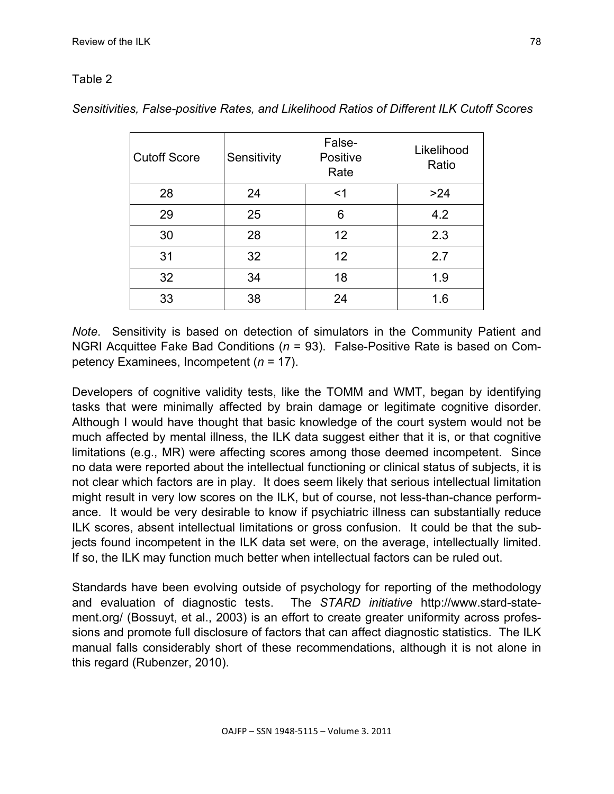# Table 2

| <b>Cutoff Score</b> | Sensitivity | False-<br>Positive<br>Rate | Likelihood<br>Ratio |
|---------------------|-------------|----------------------------|---------------------|
| 28                  | 24          | $<$ 1                      | >24                 |
| 29                  | 25          | 6                          | 4.2                 |
| 30                  | 28          | 12                         | 2.3                 |
| 31                  | 32          | 12 <sup>2</sup>            | 2.7                 |
| 32                  | 34          | 18                         | 1.9                 |
| 33                  | 38          | 24                         | 1.6                 |

*Sensitivities, False-positive Rates, and Likelihood Ratios of Different ILK Cutoff Scores*

*Note*. Sensitivity is based on detection of simulators in the Community Patient and NGRI Acquittee Fake Bad Conditions (*n* = 93). False-Positive Rate is based on Competency Examinees, Incompetent (*n* = 17).

Developers of cognitive validity tests, like the TOMM and WMT, began by identifying tasks that were minimally affected by brain damage or legitimate cognitive disorder. Although I would have thought that basic knowledge of the court system would not be much affected by mental illness, the ILK data suggest either that it is, or that cognitive limitations (e.g., MR) were affecting scores among those deemed incompetent. Since no data were reported about the intellectual functioning or clinical status of subjects, it is not clear which factors are in play. It does seem likely that serious intellectual limitation might result in very low scores on the ILK, but of course, not less-than-chance performance. It would be very desirable to know if psychiatric illness can substantially reduce ILK scores, absent intellectual limitations or gross confusion. It could be that the subjects found incompetent in the ILK data set were, on the average, intellectually limited. If so, the ILK may function much better when intellectual factors can be ruled out.

Standards have been evolving outside of psychology for reporting of the methodology and evaluation of diagnostic tests. The *STARD initiative* http://www.stard-statement.org/ (Bossuyt, et al., 2003) is an effort to create greater uniformity across professions and promote full disclosure of factors that can affect diagnostic statistics. The ILK manual falls considerably short of these recommendations, although it is not alone in this regard (Rubenzer, 2010).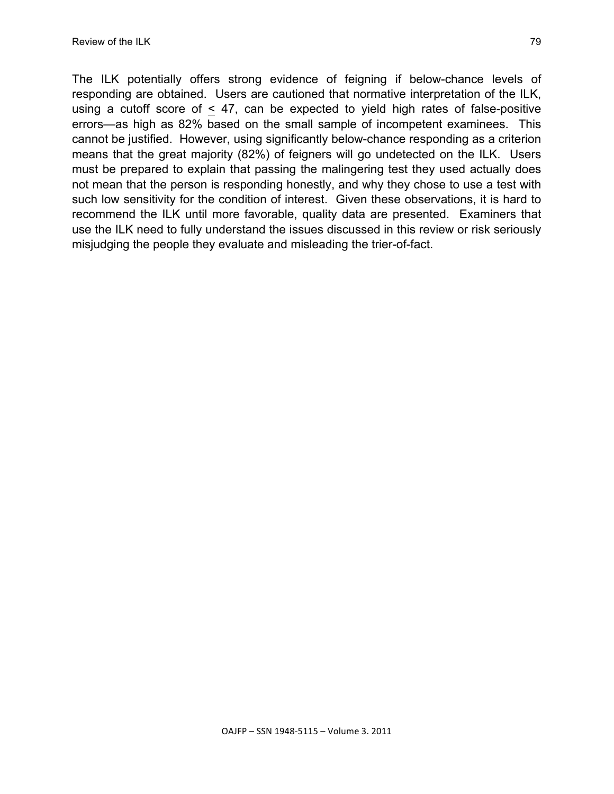The ILK potentially offers strong evidence of feigning if below-chance levels of responding are obtained. Users are cautioned that normative interpretation of the ILK, using a cutoff score of  $\leq$  47, can be expected to yield high rates of false-positive errors—as high as 82% based on the small sample of incompetent examinees. This cannot be justified. However, using significantly below-chance responding as a criterion means that the great majority (82%) of feigners will go undetected on the ILK. Users must be prepared to explain that passing the malingering test they used actually does not mean that the person is responding honestly, and why they chose to use a test with such low sensitivity for the condition of interest. Given these observations, it is hard to recommend the ILK until more favorable, quality data are presented. Examiners that use the ILK need to fully understand the issues discussed in this review or risk seriously misjudging the people they evaluate and misleading the trier-of-fact.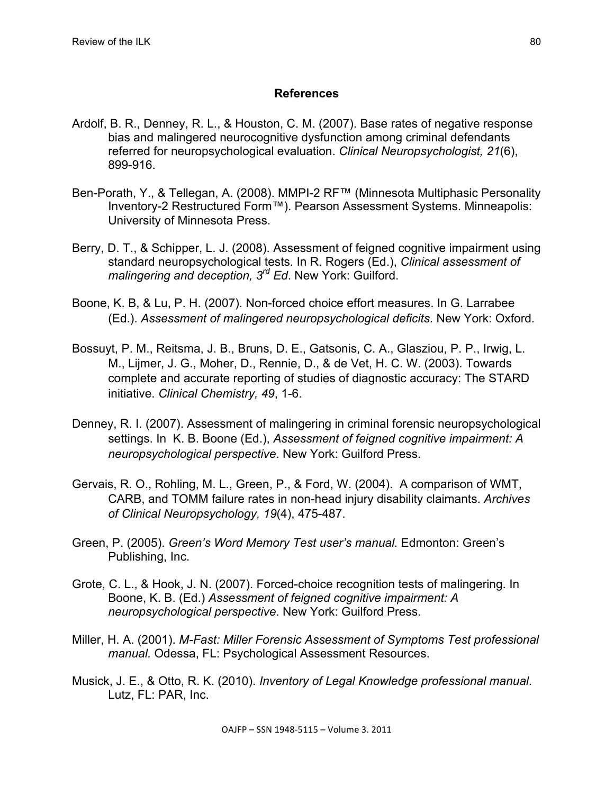## **References**

- Ardolf, B. R., Denney, R. L., & Houston, C. M. (2007). Base rates of negative response bias and malingered neurocognitive dysfunction among criminal defendants referred for neuropsychological evaluation. *Clinical Neuropsychologist, 21*(6), 899-916.
- Ben-Porath, Y., & Tellegan, A. (2008). MMPI-2 RF™ (Minnesota Multiphasic Personality Inventory-2 Restructured Form™). Pearson Assessment Systems. Minneapolis: University of Minnesota Press.
- Berry, D. T., & Schipper, L. J. (2008). Assessment of feigned cognitive impairment using standard neuropsychological tests. In R. Rogers (Ed.), *Clinical assessment of malingering and deception, 3rd Ed*. New York: Guilford.
- Boone, K. B, & Lu, P. H. (2007). Non-forced choice effort measures. In G. Larrabee (Ed.). *Assessment of malingered neuropsychological deficits*. New York: Oxford.
- Bossuyt, P. M., Reitsma, J. B., Bruns, D. E., Gatsonis, C. A., Glasziou, P. P., Irwig, L. M., Lijmer, J. G., Moher, D., Rennie, D., & de Vet, H. C. W. (2003). Towards complete and accurate reporting of studies of diagnostic accuracy: The STARD initiative. *Clinical Chemistry, 49*, 1-6.
- Denney, R. I. (2007). Assessment of malingering in criminal forensic neuropsychological settings. In K. B. Boone (Ed.), *Assessment of feigned cognitive impairment: A neuropsychological perspective*. New York: Guilford Press.
- Gervais, R. O., Rohling, M. L., Green, P., & Ford, W. (2004). A comparison of WMT, CARB, and TOMM failure rates in non-head injury disability claimants. *Archives of Clinical Neuropsychology, 19*(4), 475-487.
- Green, P. (2005). *Green's Word Memory Test user's manual.* Edmonton: Green's Publishing, Inc.
- Grote, C. L., & Hook, J. N. (2007). Forced-choice recognition tests of malingering. In Boone, K. B. (Ed.) *Assessment of feigned cognitive impairment: A neuropsychological perspective*. New York: Guilford Press.
- Miller, H. A. (2001). *M-Fast: Miller Forensic Assessment of Symptoms Test professional manual.* Odessa, FL: Psychological Assessment Resources.
- Musick, J. E., & Otto, R. K. (2010). *Inventory of Legal Knowledge professional manual*. Lutz, FL: PAR, Inc.